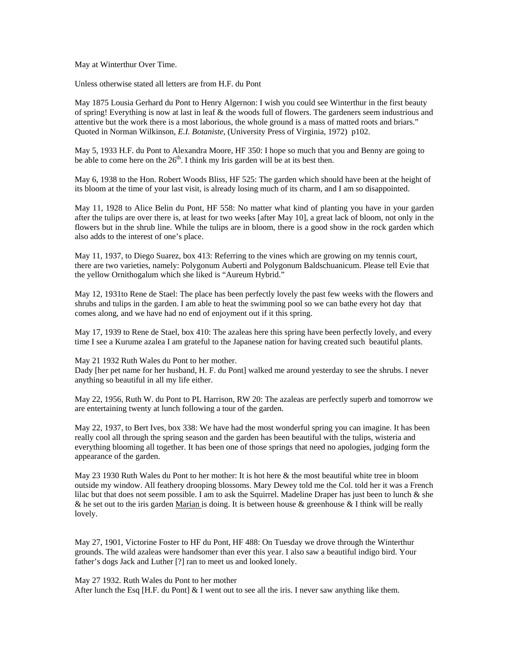May at Winterthur Over Time.

Unless otherwise stated all letters are from H.F. du Pont

May 1875 Lousia Gerhard du Pont to Henry Algernon: I wish you could see Winterthur in the first beauty of spring! Everything is now at last in leaf & the woods full of flowers. The gardeners seem industrious and attentive but the work there is a most laborious, the whole ground is a mass of matted roots and briars." Quoted in Norman Wilkinson, *E.I. Botaniste*, (University Press of Virginia, 1972) p102.

May 5, 1933 H.F. du Pont to Alexandra Moore, HF 350: I hope so much that you and Benny are going to be able to come here on the  $26<sup>th</sup>$ . I think my Iris garden will be at its best then.

May 6, 1938 to the Hon. Robert Woods Bliss, HF 525: The garden which should have been at the height of its bloom at the time of your last visit, is already losing much of its charm, and I am so disappointed.

May 11, 1928 to Alice Belin du Pont, HF 558: No matter what kind of planting you have in your garden after the tulips are over there is, at least for two weeks [after May 10], a great lack of bloom, not only in the flowers but in the shrub line. While the tulips are in bloom, there is a good show in the rock garden which also adds to the interest of one's place.

May 11, 1937, to Diego Suarez, box 413: Referring to the vines which are growing on my tennis court, there are two varieties, namely: Polygonum Auberti and Polygonum Baldschuanicum. Please tell Evie that the yellow Ornithogalum which she liked is "Aureum Hybrid."

May 12, 1931to Rene de Stael: The place has been perfectly lovely the past few weeks with the flowers and shrubs and tulips in the garden. I am able to heat the swimming pool so we can bathe every hot day that comes along, and we have had no end of enjoyment out if it this spring.

May 17, 1939 to Rene de Stael, box 410: The azaleas here this spring have been perfectly lovely, and every time I see a Kurume azalea I am grateful to the Japanese nation for having created such beautiful plants.

May 21 1932 Ruth Wales du Pont to her mother.

Dady [her pet name for her husband, H. F. du Pont] walked me around yesterday to see the shrubs. I never anything so beautiful in all my life either.

May 22, 1956, Ruth W. du Pont to PL Harrison, RW 20: The azaleas are perfectly superb and tomorrow we are entertaining twenty at lunch following a tour of the garden.

May 22, 1937, to Bert Ives, box 338: We have had the most wonderful spring you can imagine. It has been really cool all through the spring season and the garden has been beautiful with the tulips, wisteria and everything blooming all together. It has been one of those springs that need no apologies, judging form the appearance of the garden.

May 23 1930 Ruth Wales du Pont to her mother: It is hot here & the most beautiful white tree in bloom outside my window. All feathery drooping blossoms. Mary Dewey told me the Col. told her it was a French lilac but that does not seem possible. I am to ask the Squirrel. Madeline Draper has just been to lunch & she & he set out to the iris garden Marian is doing. It is between house & greenhouse & I think will be really lovely.

May 27, 1901, Victorine Foster to HF du Pont, HF 488: On Tuesday we drove through the Winterthur grounds. The wild azaleas were handsomer than ever this year. I also saw a beautiful indigo bird. Your father's dogs Jack and Luther [?] ran to meet us and looked lonely.

May 27 1932. Ruth Wales du Pont to her mother

After lunch the Esq [H.F. du Pont]  $&$  I went out to see all the iris. I never saw anything like them.